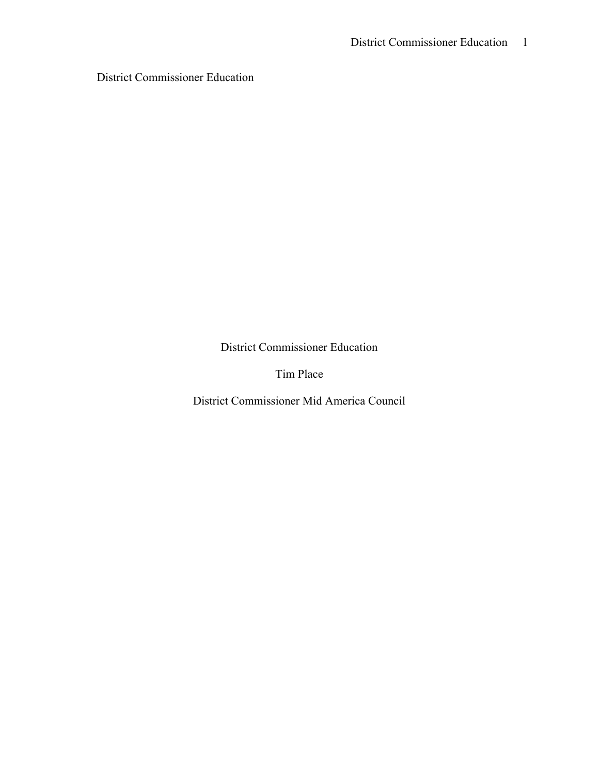District Commissioner Education

District Commissioner Education

Tim Place

District Commissioner Mid America Council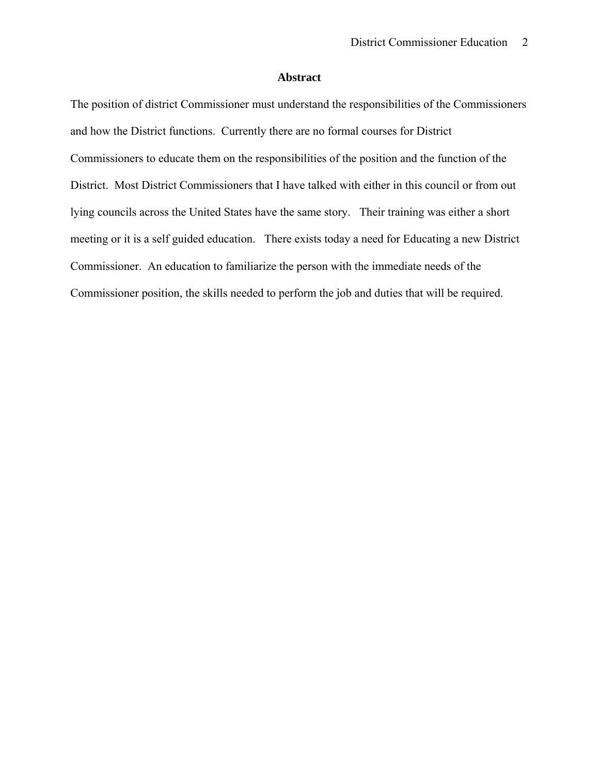# **Abstract**

The position of district Commissioner must understand the responsibilities of the Commissioners and how the District functions. Currently there are no formal courses for District Commissioners to educate them on the responsibilities of the position and the function of the District. Most District Commissioners that I have talked with either in this council or from out lying councils across the United States have the same story. Their training was either a short meeting or it is a self guided education. There exists today a need for Educating a new District Commissioner. An education to familiarize the person with the immediate needs of the Commissioner position, the skills needed to perform the job and duties that will be required.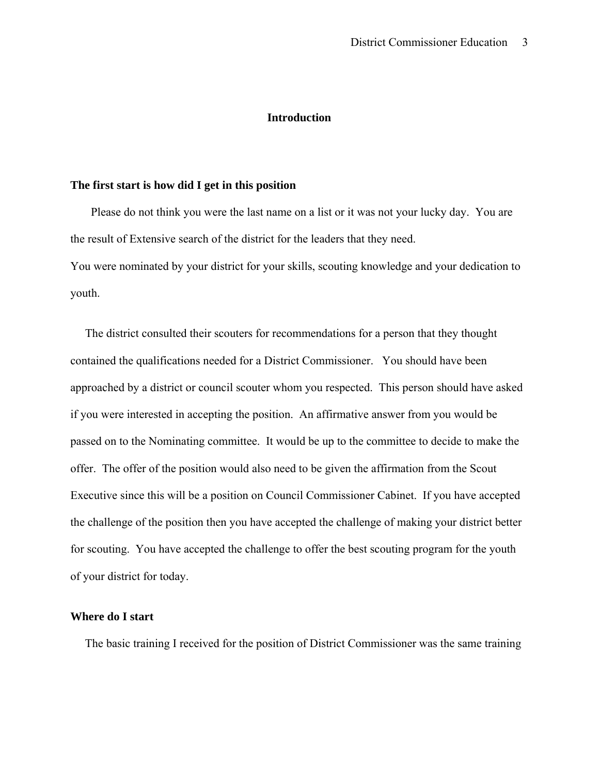### **Introduction**

#### **The first start is how did I get in this position**

 Please do not think you were the last name on a list or it was not your lucky day. You are the result of Extensive search of the district for the leaders that they need. You were nominated by your district for your skills, scouting knowledge and your dedication to youth.

 The district consulted their scouters for recommendations for a person that they thought contained the qualifications needed for a District Commissioner. You should have been approached by a district or council scouter whom you respected. This person should have asked if you were interested in accepting the position. An affirmative answer from you would be passed on to the Nominating committee. It would be up to the committee to decide to make the offer. The offer of the position would also need to be given the affirmation from the Scout Executive since this will be a position on Council Commissioner Cabinet. If you have accepted the challenge of the position then you have accepted the challenge of making your district better for scouting. You have accepted the challenge to offer the best scouting program for the youth of your district for today.

## **Where do I start**

The basic training I received for the position of District Commissioner was the same training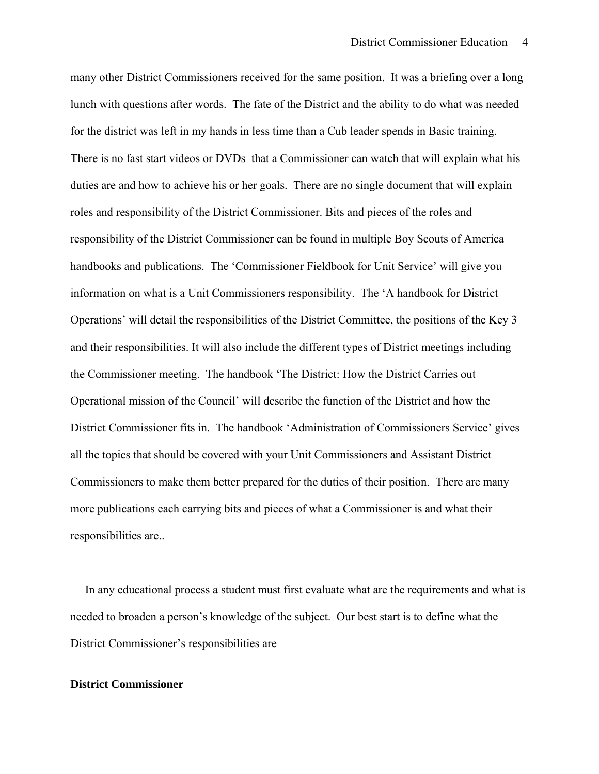many other District Commissioners received for the same position. It was a briefing over a long lunch with questions after words. The fate of the District and the ability to do what was needed for the district was left in my hands in less time than a Cub leader spends in Basic training. There is no fast start videos or DVDs that a Commissioner can watch that will explain what his duties are and how to achieve his or her goals. There are no single document that will explain roles and responsibility of the District Commissioner. Bits and pieces of the roles and responsibility of the District Commissioner can be found in multiple Boy Scouts of America handbooks and publications. The 'Commissioner Fieldbook for Unit Service' will give you information on what is a Unit Commissioners responsibility. The 'A handbook for District Operations' will detail the responsibilities of the District Committee, the positions of the Key 3 and their responsibilities. It will also include the different types of District meetings including the Commissioner meeting. The handbook 'The District: How the District Carries out Operational mission of the Council' will describe the function of the District and how the District Commissioner fits in. The handbook 'Administration of Commissioners Service' gives all the topics that should be covered with your Unit Commissioners and Assistant District Commissioners to make them better prepared for the duties of their position. There are many more publications each carrying bits and pieces of what a Commissioner is and what their responsibilities are..

 In any educational process a student must first evaluate what are the requirements and what is needed to broaden a person's knowledge of the subject. Our best start is to define what the District Commissioner's responsibilities are

## **District Commissioner**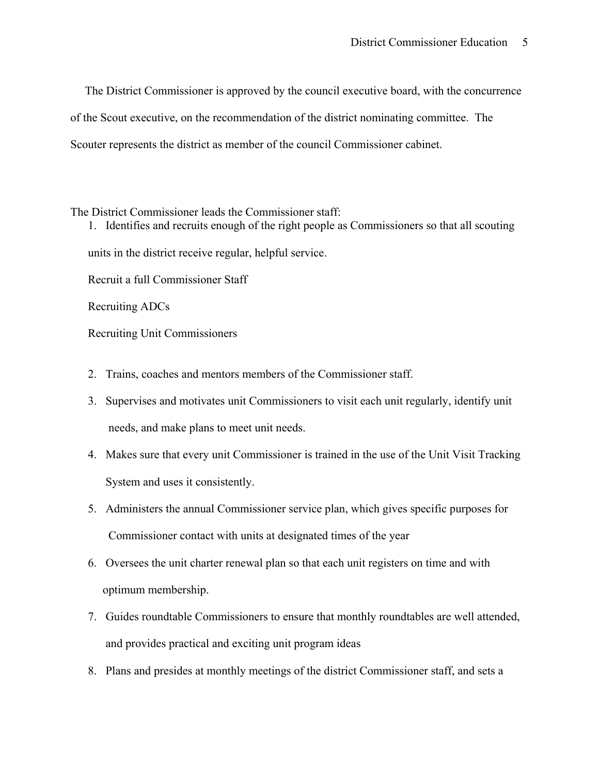The District Commissioner is approved by the council executive board, with the concurrence of the Scout executive, on the recommendation of the district nominating committee. The Scouter represents the district as member of the council Commissioner cabinet.

The District Commissioner leads the Commissioner staff:

1. Identifies and recruits enough of the right people as Commissioners so that all scouting units in the district receive regular, helpful service.

Recruit a full Commissioner Staff

Recruiting ADCs

Recruiting Unit Commissioners

- 2. Trains, coaches and mentors members of the Commissioner staff.
- 3. Supervises and motivates unit Commissioners to visit each unit regularly, identify unit needs, and make plans to meet unit needs.
- 4. Makes sure that every unit Commissioner is trained in the use of the Unit Visit Tracking System and uses it consistently.
- 5. Administers the annual Commissioner service plan, which gives specific purposes for Commissioner contact with units at designated times of the year
- 6. Oversees the unit charter renewal plan so that each unit registers on time and with optimum membership.
- 7. Guides roundtable Commissioners to ensure that monthly roundtables are well attended, and provides practical and exciting unit program ideas
- 8. Plans and presides at monthly meetings of the district Commissioner staff, and sets a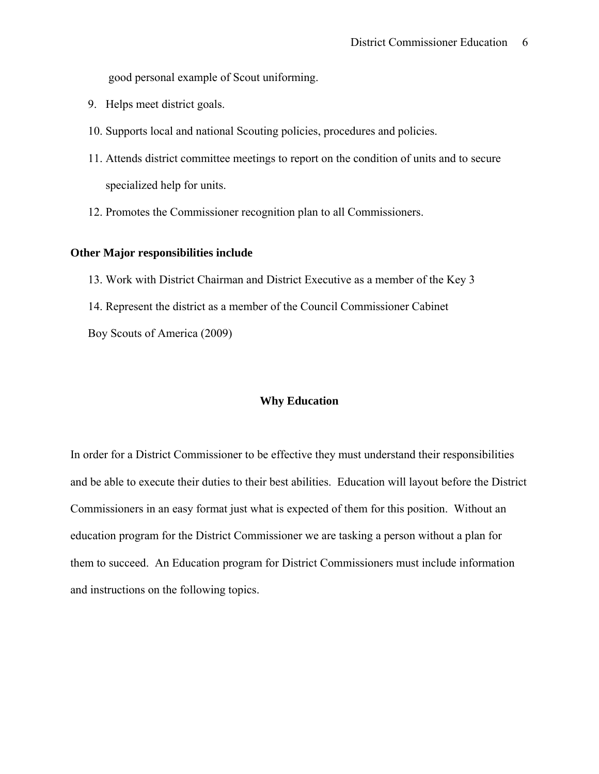good personal example of Scout uniforming.

- 9. Helps meet district goals.
- 10. Supports local and national Scouting policies, procedures and policies.
- 11. Attends district committee meetings to report on the condition of units and to secure specialized help for units.
- 12. Promotes the Commissioner recognition plan to all Commissioners.

# **Other Major responsibilities include**

- 13. Work with District Chairman and District Executive as a member of the Key 3
- 14. Represent the district as a member of the Council Commissioner Cabinet

Boy Scouts of America (2009)

## **Why Education**

In order for a District Commissioner to be effective they must understand their responsibilities and be able to execute their duties to their best abilities. Education will layout before the District Commissioners in an easy format just what is expected of them for this position. Without an education program for the District Commissioner we are tasking a person without a plan for them to succeed. An Education program for District Commissioners must include information and instructions on the following topics.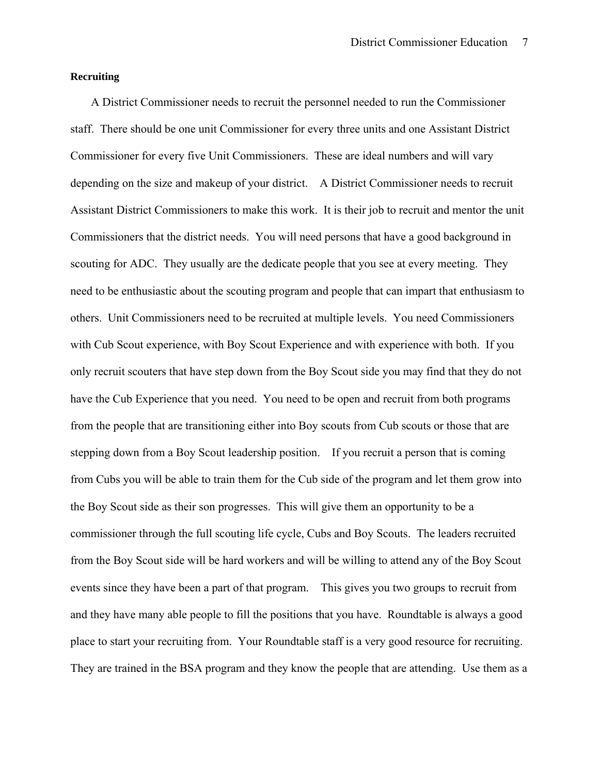## **Recruiting**

 A District Commissioner needs to recruit the personnel needed to run the Commissioner staff. There should be one unit Commissioner for every three units and one Assistant District Commissioner for every five Unit Commissioners. These are ideal numbers and will vary depending on the size and makeup of your district. A District Commissioner needs to recruit Assistant District Commissioners to make this work. It is their job to recruit and mentor the unit Commissioners that the district needs. You will need persons that have a good background in scouting for ADC. They usually are the dedicate people that you see at every meeting. They need to be enthusiastic about the scouting program and people that can impart that enthusiasm to others. Unit Commissioners need to be recruited at multiple levels. You need Commissioners with Cub Scout experience, with Boy Scout Experience and with experience with both. If you only recruit scouters that have step down from the Boy Scout side you may find that they do not have the Cub Experience that you need. You need to be open and recruit from both programs from the people that are transitioning either into Boy scouts from Cub scouts or those that are stepping down from a Boy Scout leadership position. If you recruit a person that is coming from Cubs you will be able to train them for the Cub side of the program and let them grow into the Boy Scout side as their son progresses. This will give them an opportunity to be a commissioner through the full scouting life cycle, Cubs and Boy Scouts. The leaders recruited from the Boy Scout side will be hard workers and will be willing to attend any of the Boy Scout events since they have been a part of that program. This gives you two groups to recruit from and they have many able people to fill the positions that you have. Roundtable is always a good place to start your recruiting from. Your Roundtable staff is a very good resource for recruiting. They are trained in the BSA program and they know the people that are attending. Use them as a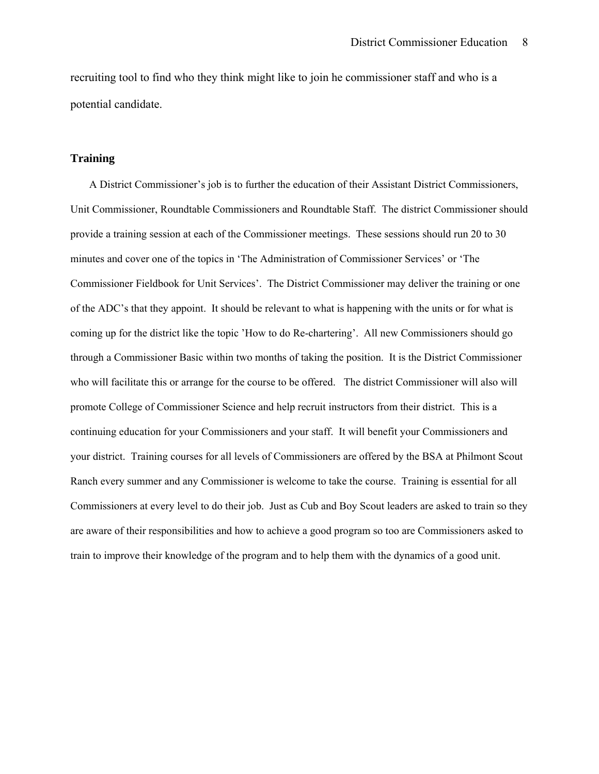recruiting tool to find who they think might like to join he commissioner staff and who is a potential candidate.

## **Training**

 A District Commissioner's job is to further the education of their Assistant District Commissioners, Unit Commissioner, Roundtable Commissioners and Roundtable Staff. The district Commissioner should provide a training session at each of the Commissioner meetings. These sessions should run 20 to 30 minutes and cover one of the topics in 'The Administration of Commissioner Services' or 'The Commissioner Fieldbook for Unit Services'. The District Commissioner may deliver the training or one of the ADC's that they appoint. It should be relevant to what is happening with the units or for what is coming up for the district like the topic 'How to do Re-chartering'. All new Commissioners should go through a Commissioner Basic within two months of taking the position. It is the District Commissioner who will facilitate this or arrange for the course to be offered. The district Commissioner will also will promote College of Commissioner Science and help recruit instructors from their district. This is a continuing education for your Commissioners and your staff. It will benefit your Commissioners and your district. Training courses for all levels of Commissioners are offered by the BSA at Philmont Scout Ranch every summer and any Commissioner is welcome to take the course. Training is essential for all Commissioners at every level to do their job. Just as Cub and Boy Scout leaders are asked to train so they are aware of their responsibilities and how to achieve a good program so too are Commissioners asked to train to improve their knowledge of the program and to help them with the dynamics of a good unit.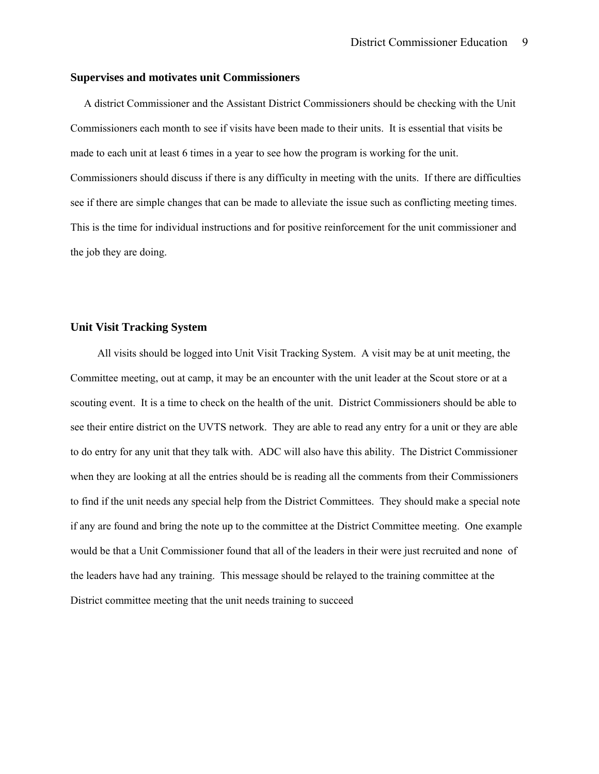#### **Supervises and motivates unit Commissioners**

 A district Commissioner and the Assistant District Commissioners should be checking with the Unit Commissioners each month to see if visits have been made to their units. It is essential that visits be made to each unit at least 6 times in a year to see how the program is working for the unit. Commissioners should discuss if there is any difficulty in meeting with the units. If there are difficulties see if there are simple changes that can be made to alleviate the issue such as conflicting meeting times. This is the time for individual instructions and for positive reinforcement for the unit commissioner and the job they are doing.

#### **Unit Visit Tracking System**

 All visits should be logged into Unit Visit Tracking System. A visit may be at unit meeting, the Committee meeting, out at camp, it may be an encounter with the unit leader at the Scout store or at a scouting event. It is a time to check on the health of the unit. District Commissioners should be able to see their entire district on the UVTS network. They are able to read any entry for a unit or they are able to do entry for any unit that they talk with. ADC will also have this ability. The District Commissioner when they are looking at all the entries should be is reading all the comments from their Commissioners to find if the unit needs any special help from the District Committees. They should make a special note if any are found and bring the note up to the committee at the District Committee meeting. One example would be that a Unit Commissioner found that all of the leaders in their were just recruited and none of the leaders have had any training. This message should be relayed to the training committee at the District committee meeting that the unit needs training to succeed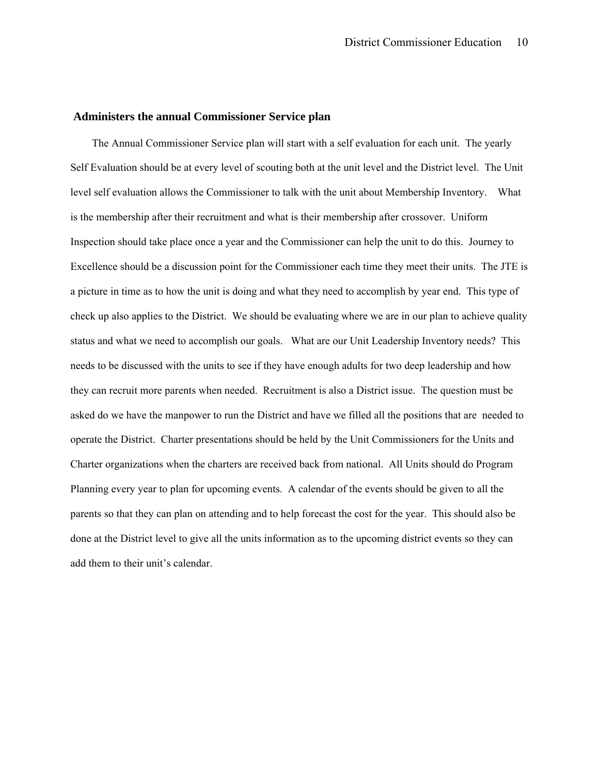#### **Administers the annual Commissioner Service plan**

 The Annual Commissioner Service plan will start with a self evaluation for each unit. The yearly Self Evaluation should be at every level of scouting both at the unit level and the District level. The Unit level self evaluation allows the Commissioner to talk with the unit about Membership Inventory. What is the membership after their recruitment and what is their membership after crossover. Uniform Inspection should take place once a year and the Commissioner can help the unit to do this. Journey to Excellence should be a discussion point for the Commissioner each time they meet their units. The JTE is a picture in time as to how the unit is doing and what they need to accomplish by year end. This type of check up also applies to the District. We should be evaluating where we are in our plan to achieve quality status and what we need to accomplish our goals. What are our Unit Leadership Inventory needs? This needs to be discussed with the units to see if they have enough adults for two deep leadership and how they can recruit more parents when needed. Recruitment is also a District issue. The question must be asked do we have the manpower to run the District and have we filled all the positions that are needed to operate the District. Charter presentations should be held by the Unit Commissioners for the Units and Charter organizations when the charters are received back from national. All Units should do Program Planning every year to plan for upcoming events. A calendar of the events should be given to all the parents so that they can plan on attending and to help forecast the cost for the year. This should also be done at the District level to give all the units information as to the upcoming district events so they can add them to their unit's calendar.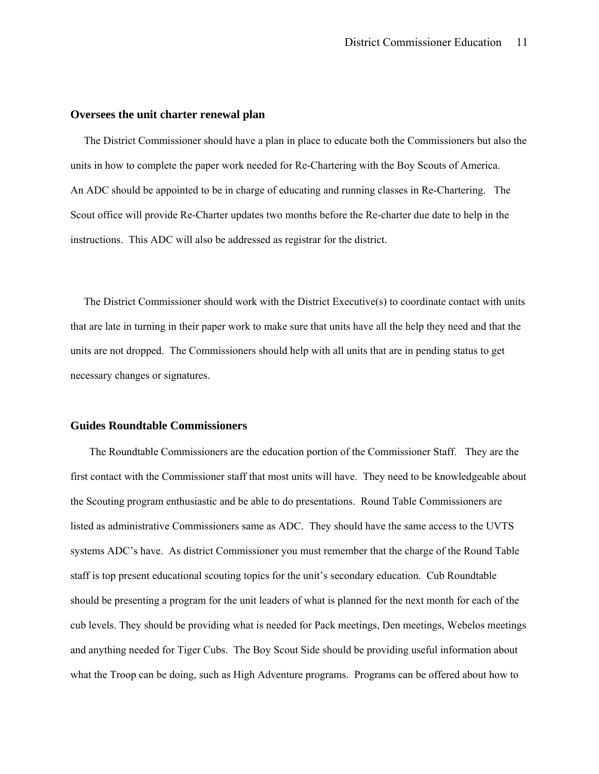#### **Oversees the unit charter renewal plan**

 The District Commissioner should have a plan in place to educate both the Commissioners but also the units in how to complete the paper work needed for Re-Chartering with the Boy Scouts of America. An ADC should be appointed to be in charge of educating and running classes in Re-Chartering. The Scout office will provide Re-Charter updates two months before the Re-charter due date to help in the instructions. This ADC will also be addressed as registrar for the district.

 The District Commissioner should work with the District Executive(s) to coordinate contact with units that are late in turning in their paper work to make sure that units have all the help they need and that the units are not dropped. The Commissioners should help with all units that are in pending status to get necessary changes or signatures.

#### **Guides Roundtable Commissioners**

 The Roundtable Commissioners are the education portion of the Commissioner Staff. They are the first contact with the Commissioner staff that most units will have. They need to be knowledgeable about the Scouting program enthusiastic and be able to do presentations. Round Table Commissioners are listed as administrative Commissioners same as ADC. They should have the same access to the UVTS systems ADC's have. As district Commissioner you must remember that the charge of the Round Table staff is top present educational scouting topics for the unit's secondary education. Cub Roundtable should be presenting a program for the unit leaders of what is planned for the next month for each of the cub levels. They should be providing what is needed for Pack meetings, Den meetings, Webelos meetings and anything needed for Tiger Cubs. The Boy Scout Side should be providing useful information about what the Troop can be doing, such as High Adventure programs. Programs can be offered about how to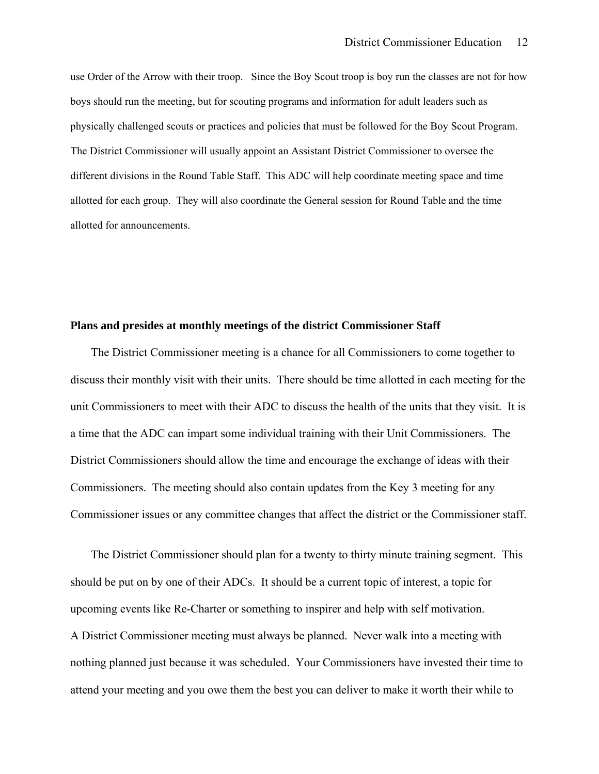use Order of the Arrow with their troop. Since the Boy Scout troop is boy run the classes are not for how boys should run the meeting, but for scouting programs and information for adult leaders such as physically challenged scouts or practices and policies that must be followed for the Boy Scout Program. The District Commissioner will usually appoint an Assistant District Commissioner to oversee the different divisions in the Round Table Staff. This ADC will help coordinate meeting space and time allotted for each group. They will also coordinate the General session for Round Table and the time allotted for announcements.

#### **Plans and presides at monthly meetings of the district Commissioner Staff**

 The District Commissioner meeting is a chance for all Commissioners to come together to discuss their monthly visit with their units. There should be time allotted in each meeting for the unit Commissioners to meet with their ADC to discuss the health of the units that they visit. It is a time that the ADC can impart some individual training with their Unit Commissioners. The District Commissioners should allow the time and encourage the exchange of ideas with their Commissioners. The meeting should also contain updates from the Key 3 meeting for any Commissioner issues or any committee changes that affect the district or the Commissioner staff.

 The District Commissioner should plan for a twenty to thirty minute training segment. This should be put on by one of their ADCs. It should be a current topic of interest, a topic for upcoming events like Re-Charter or something to inspirer and help with self motivation. A District Commissioner meeting must always be planned. Never walk into a meeting with nothing planned just because it was scheduled. Your Commissioners have invested their time to attend your meeting and you owe them the best you can deliver to make it worth their while to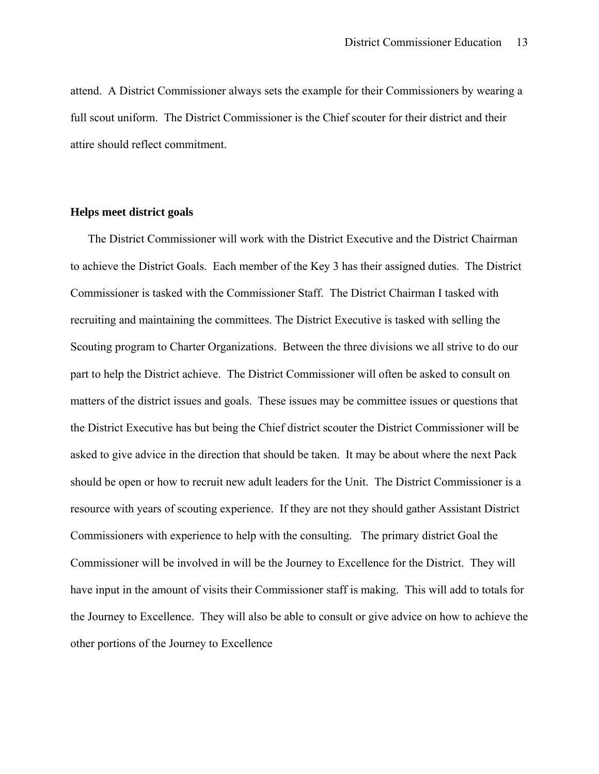attend. A District Commissioner always sets the example for their Commissioners by wearing a full scout uniform. The District Commissioner is the Chief scouter for their district and their attire should reflect commitment.

# **Helps meet district goals**

 The District Commissioner will work with the District Executive and the District Chairman to achieve the District Goals. Each member of the Key 3 has their assigned duties. The District Commissioner is tasked with the Commissioner Staff. The District Chairman I tasked with recruiting and maintaining the committees. The District Executive is tasked with selling the Scouting program to Charter Organizations. Between the three divisions we all strive to do our part to help the District achieve. The District Commissioner will often be asked to consult on matters of the district issues and goals. These issues may be committee issues or questions that the District Executive has but being the Chief district scouter the District Commissioner will be asked to give advice in the direction that should be taken. It may be about where the next Pack should be open or how to recruit new adult leaders for the Unit. The District Commissioner is a resource with years of scouting experience. If they are not they should gather Assistant District Commissioners with experience to help with the consulting. The primary district Goal the Commissioner will be involved in will be the Journey to Excellence for the District. They will have input in the amount of visits their Commissioner staff is making. This will add to totals for the Journey to Excellence. They will also be able to consult or give advice on how to achieve the other portions of the Journey to Excellence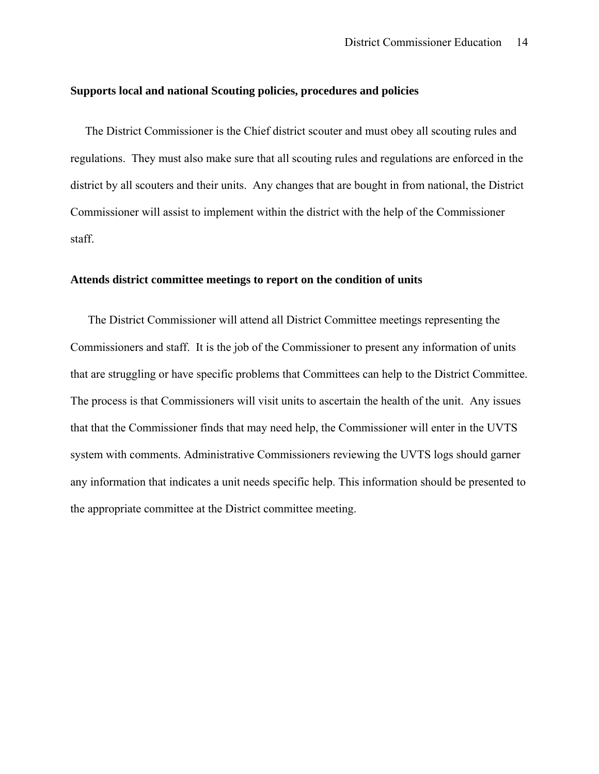### **Supports local and national Scouting policies, procedures and policies**

 The District Commissioner is the Chief district scouter and must obey all scouting rules and regulations. They must also make sure that all scouting rules and regulations are enforced in the district by all scouters and their units. Any changes that are bought in from national, the District Commissioner will assist to implement within the district with the help of the Commissioner staff.

# **Attends district committee meetings to report on the condition of units**

 The District Commissioner will attend all District Committee meetings representing the Commissioners and staff. It is the job of the Commissioner to present any information of units that are struggling or have specific problems that Committees can help to the District Committee. The process is that Commissioners will visit units to ascertain the health of the unit. Any issues that that the Commissioner finds that may need help, the Commissioner will enter in the UVTS system with comments. Administrative Commissioners reviewing the UVTS logs should garner any information that indicates a unit needs specific help. This information should be presented to the appropriate committee at the District committee meeting.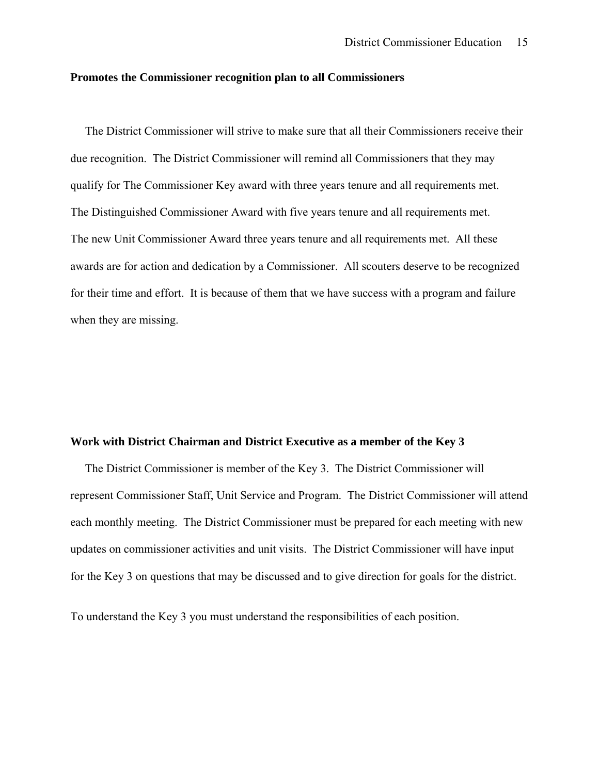#### **Promotes the Commissioner recognition plan to all Commissioners**

 The District Commissioner will strive to make sure that all their Commissioners receive their due recognition. The District Commissioner will remind all Commissioners that they may qualify for The Commissioner Key award with three years tenure and all requirements met. The Distinguished Commissioner Award with five years tenure and all requirements met. The new Unit Commissioner Award three years tenure and all requirements met. All these awards are for action and dedication by a Commissioner. All scouters deserve to be recognized for their time and effort. It is because of them that we have success with a program and failure when they are missing.

## **Work with District Chairman and District Executive as a member of the Key 3**

 The District Commissioner is member of the Key 3. The District Commissioner will represent Commissioner Staff, Unit Service and Program. The District Commissioner will attend each monthly meeting. The District Commissioner must be prepared for each meeting with new updates on commissioner activities and unit visits. The District Commissioner will have input for the Key 3 on questions that may be discussed and to give direction for goals for the district.

To understand the Key 3 you must understand the responsibilities of each position.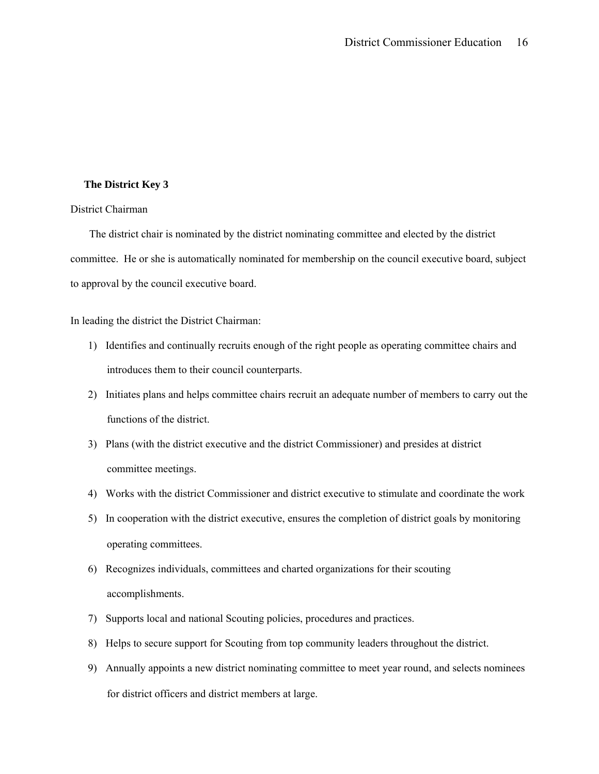#### **The District Key 3**

#### District Chairman

 The district chair is nominated by the district nominating committee and elected by the district committee. He or she is automatically nominated for membership on the council executive board, subject to approval by the council executive board.

In leading the district the District Chairman:

- 1) Identifies and continually recruits enough of the right people as operating committee chairs and introduces them to their council counterparts.
- 2) Initiates plans and helps committee chairs recruit an adequate number of members to carry out the functions of the district.
- 3) Plans (with the district executive and the district Commissioner) and presides at district committee meetings.
- 4) Works with the district Commissioner and district executive to stimulate and coordinate the work
- 5) In cooperation with the district executive, ensures the completion of district goals by monitoring operating committees.
- 6) Recognizes individuals, committees and charted organizations for their scouting accomplishments.
- 7) Supports local and national Scouting policies, procedures and practices.
- 8) Helps to secure support for Scouting from top community leaders throughout the district.
- 9) Annually appoints a new district nominating committee to meet year round, and selects nominees for district officers and district members at large.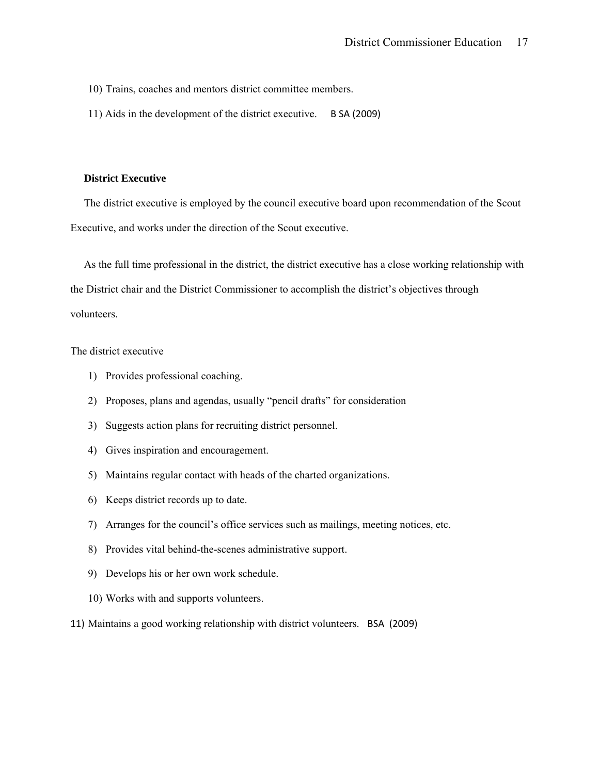10) Trains, coaches and mentors district committee members.

11) Aids in the development of the district executive. B SA (2009)

#### **District Executive**

 The district executive is employed by the council executive board upon recommendation of the Scout Executive, and works under the direction of the Scout executive.

 As the full time professional in the district, the district executive has a close working relationship with the District chair and the District Commissioner to accomplish the district's objectives through volunteers.

#### The district executive

- 1) Provides professional coaching.
- 2) Proposes, plans and agendas, usually "pencil drafts" for consideration
- 3) Suggests action plans for recruiting district personnel.
- 4) Gives inspiration and encouragement.
- 5) Maintains regular contact with heads of the charted organizations.
- 6) Keeps district records up to date.
- 7) Arranges for the council's office services such as mailings, meeting notices, etc.
- 8) Provides vital behind-the-scenes administrative support.
- 9) Develops his or her own work schedule.
- 10) Works with and supports volunteers.
- 11) Maintains a good working relationship with district volunteers. BSA (2009)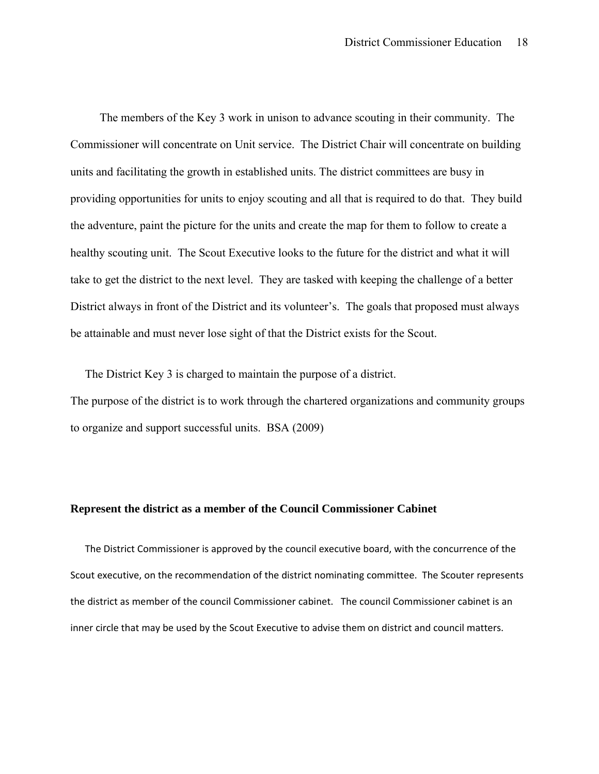The members of the Key 3 work in unison to advance scouting in their community. The Commissioner will concentrate on Unit service. The District Chair will concentrate on building units and facilitating the growth in established units. The district committees are busy in providing opportunities for units to enjoy scouting and all that is required to do that. They build the adventure, paint the picture for the units and create the map for them to follow to create a healthy scouting unit. The Scout Executive looks to the future for the district and what it will take to get the district to the next level. They are tasked with keeping the challenge of a better District always in front of the District and its volunteer's. The goals that proposed must always be attainable and must never lose sight of that the District exists for the Scout.

 The District Key 3 is charged to maintain the purpose of a district. The purpose of the district is to work through the chartered organizations and community groups to organize and support successful units. BSA (2009)

#### **Represent the district as a member of the Council Commissioner Cabinet**

 The District Commissioner is approved by the council executive board, with the concurrence of the Scout executive, on the recommendation of the district nominating committee. The Scouter represents the district as member of the council Commissioner cabinet. The council Commissioner cabinet is an inner circle that may be used by the Scout Executive to advise them on district and council matters.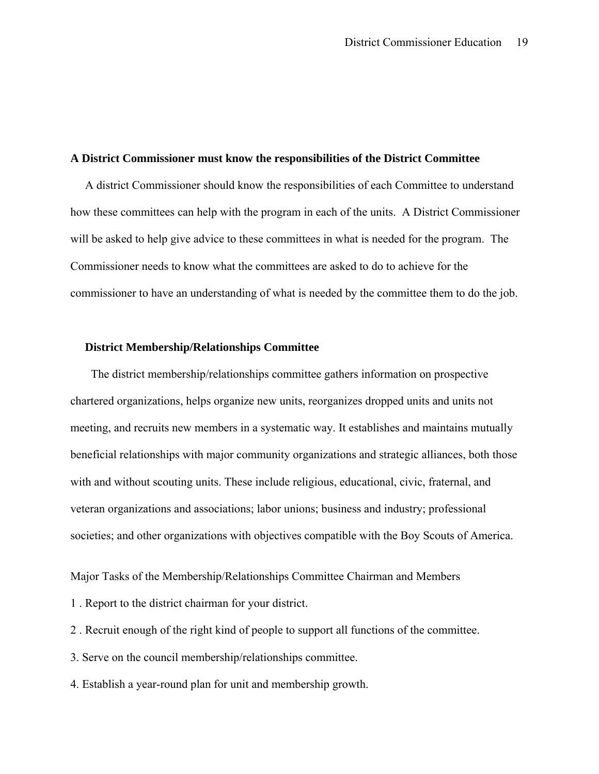#### **A District Commissioner must know the responsibilities of the District Committee**

 A district Commissioner should know the responsibilities of each Committee to understand how these committees can help with the program in each of the units. A District Commissioner will be asked to help give advice to these committees in what is needed for the program. The Commissioner needs to know what the committees are asked to do to achieve for the commissioner to have an understanding of what is needed by the committee them to do the job.

### **District Membership/Relationships Committee**

 The district membership/relationships committee gathers information on prospective chartered organizations, helps organize new units, reorganizes dropped units and units not meeting, and recruits new members in a systematic way. It establishes and maintains mutually beneficial relationships with major community organizations and strategic alliances, both those with and without scouting units. These include religious, educational, civic, fraternal, and veteran organizations and associations; labor unions; business and industry; professional societies; and other organizations with objectives compatible with the Boy Scouts of America.

Major Tasks of the Membership/Relationships Committee Chairman and Members

- 1 . Report to the district chairman for your district.
- 2 . Recruit enough of the right kind of people to support all functions of the committee.
- 3. Serve on the council membership/relationships committee.
- 4. Establish a year-round plan for unit and membership growth.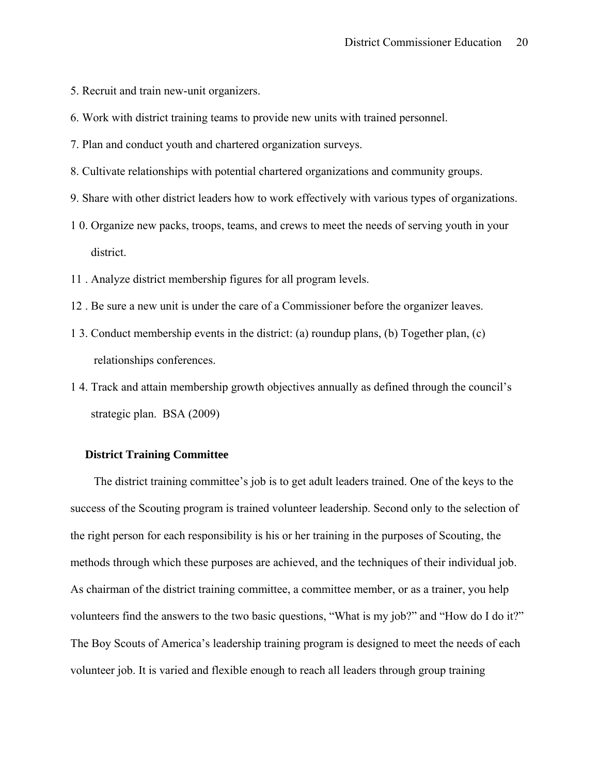- 5. Recruit and train new-unit organizers.
- 6. Work with district training teams to provide new units with trained personnel.
- 7. Plan and conduct youth and chartered organization surveys.
- 8. Cultivate relationships with potential chartered organizations and community groups.
- 9. Share with other district leaders how to work effectively with various types of organizations.
- 1 0. Organize new packs, troops, teams, and crews to meet the needs of serving youth in your district.
- 11 . Analyze district membership figures for all program levels.
- 12 . Be sure a new unit is under the care of a Commissioner before the organizer leaves.
- 1 3. Conduct membership events in the district: (a) roundup plans, (b) Together plan, (c) relationships conferences.
- 1 4. Track and attain membership growth objectives annually as defined through the council's strategic plan. BSA (2009)

## **District Training Committee**

 The district training committee's job is to get adult leaders trained. One of the keys to the success of the Scouting program is trained volunteer leadership. Second only to the selection of the right person for each responsibility is his or her training in the purposes of Scouting, the methods through which these purposes are achieved, and the techniques of their individual job. As chairman of the district training committee, a committee member, or as a trainer, you help volunteers find the answers to the two basic questions, "What is my job?" and "How do I do it?" The Boy Scouts of America's leadership training program is designed to meet the needs of each volunteer job. It is varied and flexible enough to reach all leaders through group training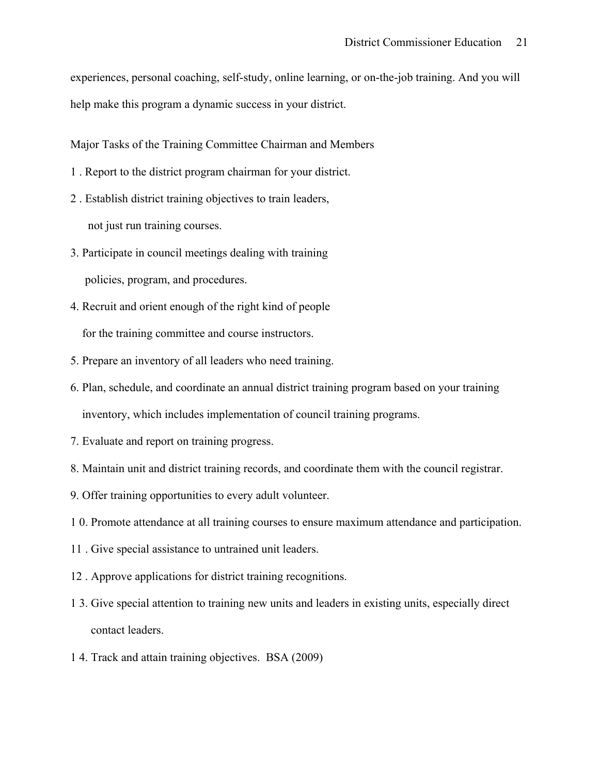experiences, personal coaching, self-study, online learning, or on-the-job training. And you will help make this program a dynamic success in your district.

Major Tasks of the Training Committee Chairman and Members

- 1 . Report to the district program chairman for your district.
- 2 . Establish district training objectives to train leaders, not just run training courses.
- 3. Participate in council meetings dealing with training policies, program, and procedures.
- 4. Recruit and orient enough of the right kind of people for the training committee and course instructors.
- 5. Prepare an inventory of all leaders who need training.
- 6. Plan, schedule, and coordinate an annual district training program based on your training inventory, which includes implementation of council training programs.
- 7. Evaluate and report on training progress.
- 8. Maintain unit and district training records, and coordinate them with the council registrar.
- 9. Offer training opportunities to every adult volunteer.
- 1 0. Promote attendance at all training courses to ensure maximum attendance and participation.
- 11 . Give special assistance to untrained unit leaders.
- 12 . Approve applications for district training recognitions.
- 1 3. Give special attention to training new units and leaders in existing units, especially direct contact leaders.
- 1 4. Track and attain training objectives. BSA (2009)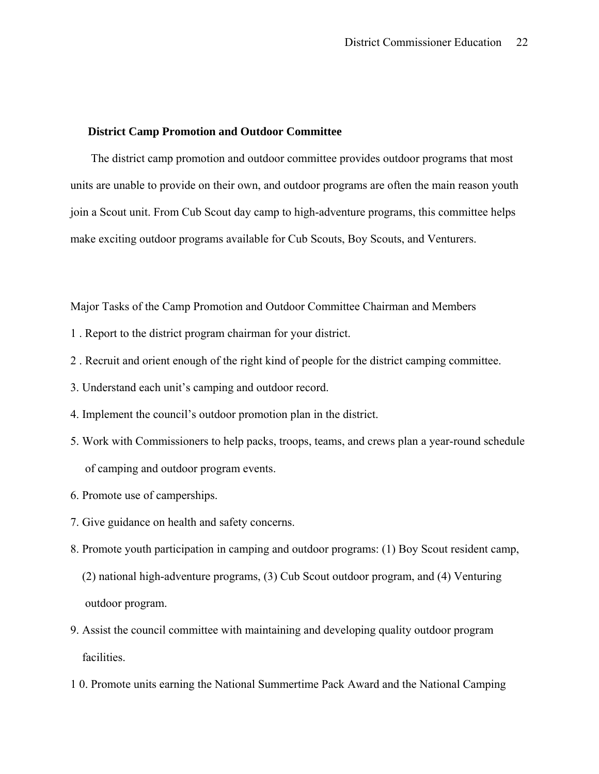## **District Camp Promotion and Outdoor Committee**

 The district camp promotion and outdoor committee provides outdoor programs that most units are unable to provide on their own, and outdoor programs are often the main reason youth join a Scout unit. From Cub Scout day camp to high-adventure programs, this committee helps make exciting outdoor programs available for Cub Scouts, Boy Scouts, and Venturers.

Major Tasks of the Camp Promotion and Outdoor Committee Chairman and Members

- 1 . Report to the district program chairman for your district.
- 2 . Recruit and orient enough of the right kind of people for the district camping committee.
- 3. Understand each unit's camping and outdoor record.
- 4. Implement the council's outdoor promotion plan in the district.
- 5. Work with Commissioners to help packs, troops, teams, and crews plan a year-round schedule of camping and outdoor program events.
- 6. Promote use of camperships.
- 7. Give guidance on health and safety concerns.
- 8. Promote youth participation in camping and outdoor programs: (1) Boy Scout resident camp,
	- (2) national high-adventure programs, (3) Cub Scout outdoor program, and (4) Venturing outdoor program.
- 9. Assist the council committee with maintaining and developing quality outdoor program facilities.
- 1 0. Promote units earning the National Summertime Pack Award and the National Camping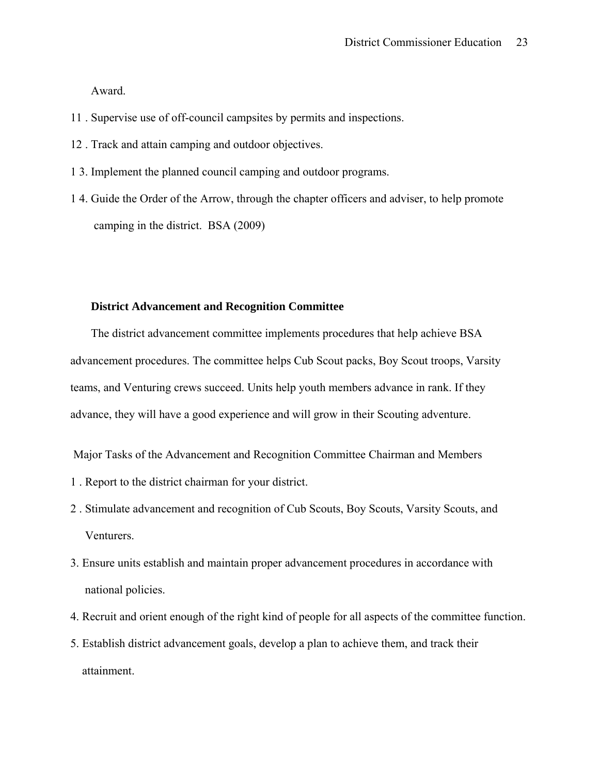Award.

- 11 . Supervise use of off-council campsites by permits and inspections.
- 12 . Track and attain camping and outdoor objectives.
- 1 3. Implement the planned council camping and outdoor programs.
- 1 4. Guide the Order of the Arrow, through the chapter officers and adviser, to help promote camping in the district. BSA (2009)

# **District Advancement and Recognition Committee**

 The district advancement committee implements procedures that help achieve BSA advancement procedures. The committee helps Cub Scout packs, Boy Scout troops, Varsity teams, and Venturing crews succeed. Units help youth members advance in rank. If they advance, they will have a good experience and will grow in their Scouting adventure.

Major Tasks of the Advancement and Recognition Committee Chairman and Members

- 1 . Report to the district chairman for your district.
- 2 . Stimulate advancement and recognition of Cub Scouts, Boy Scouts, Varsity Scouts, and Venturers.
- 3. Ensure units establish and maintain proper advancement procedures in accordance with national policies.
- 4. Recruit and orient enough of the right kind of people for all aspects of the committee function.
- 5. Establish district advancement goals, develop a plan to achieve them, and track their attainment.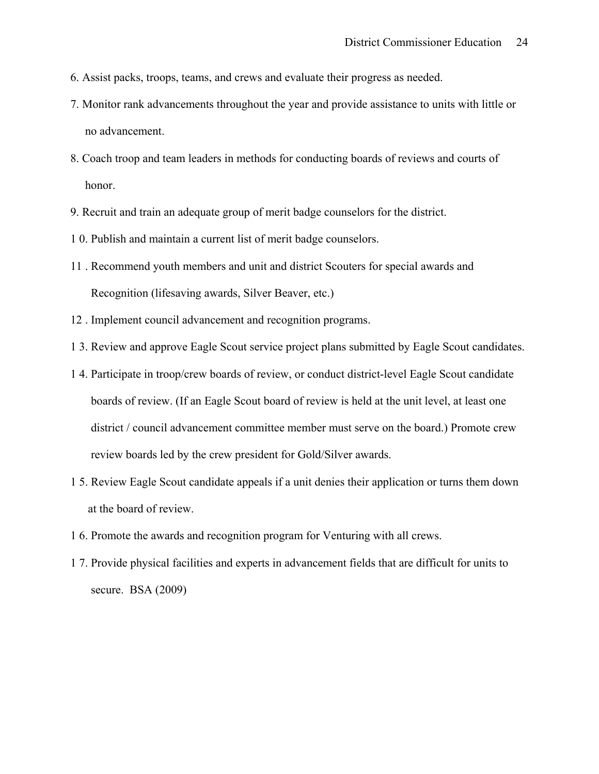- 6. Assist packs, troops, teams, and crews and evaluate their progress as needed.
- 7. Monitor rank advancements throughout the year and provide assistance to units with little or no advancement.
- 8. Coach troop and team leaders in methods for conducting boards of reviews and courts of honor.
- 9. Recruit and train an adequate group of merit badge counselors for the district.
- 1 0. Publish and maintain a current list of merit badge counselors.
- 11 . Recommend youth members and unit and district Scouters for special awards and Recognition (lifesaving awards, Silver Beaver, etc.)
- 12 . Implement council advancement and recognition programs.
- 1 3. Review and approve Eagle Scout service project plans submitted by Eagle Scout candidates.
- 1 4. Participate in troop/crew boards of review, or conduct district-level Eagle Scout candidate boards of review. (If an Eagle Scout board of review is held at the unit level, at least one district / council advancement committee member must serve on the board.) Promote crew review boards led by the crew president for Gold/Silver awards.
- 1 5. Review Eagle Scout candidate appeals if a unit denies their application or turns them down at the board of review.
- 1 6. Promote the awards and recognition program for Venturing with all crews.
- 1 7. Provide physical facilities and experts in advancement fields that are difficult for units to secure. BSA (2009)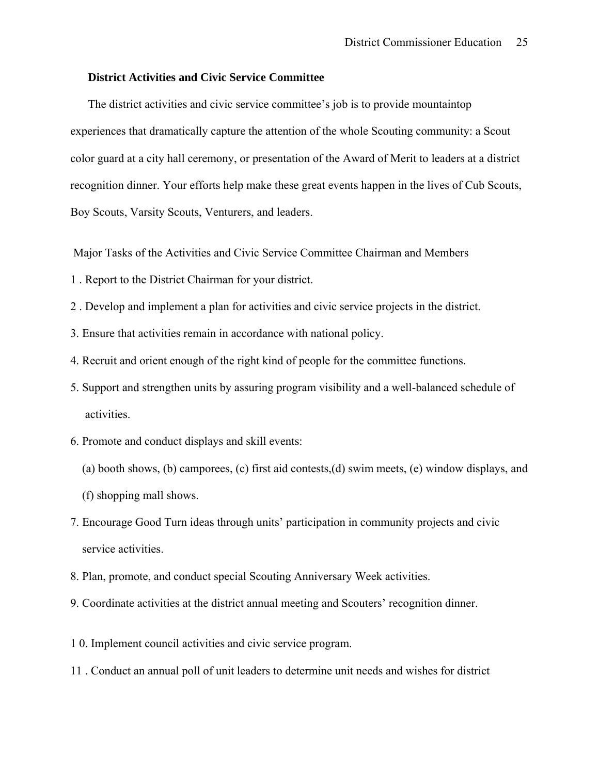## **District Activities and Civic Service Committee**

 The district activities and civic service committee's job is to provide mountaintop experiences that dramatically capture the attention of the whole Scouting community: a Scout color guard at a city hall ceremony, or presentation of the Award of Merit to leaders at a district recognition dinner. Your efforts help make these great events happen in the lives of Cub Scouts, Boy Scouts, Varsity Scouts, Venturers, and leaders.

Major Tasks of the Activities and Civic Service Committee Chairman and Members

- 1 . Report to the District Chairman for your district.
- 2 . Develop and implement a plan for activities and civic service projects in the district.
- 3. Ensure that activities remain in accordance with national policy.
- 4. Recruit and orient enough of the right kind of people for the committee functions.
- 5. Support and strengthen units by assuring program visibility and a well-balanced schedule of activities.
- 6. Promote and conduct displays and skill events:
	- (a) booth shows, (b) camporees, (c) first aid contests,(d) swim meets, (e) window displays, and
	- (f) shopping mall shows.
- 7. Encourage Good Turn ideas through units' participation in community projects and civic service activities.
- 8. Plan, promote, and conduct special Scouting Anniversary Week activities.
- 9. Coordinate activities at the district annual meeting and Scouters' recognition dinner.
- 1 0. Implement council activities and civic service program.
- 11 . Conduct an annual poll of unit leaders to determine unit needs and wishes for district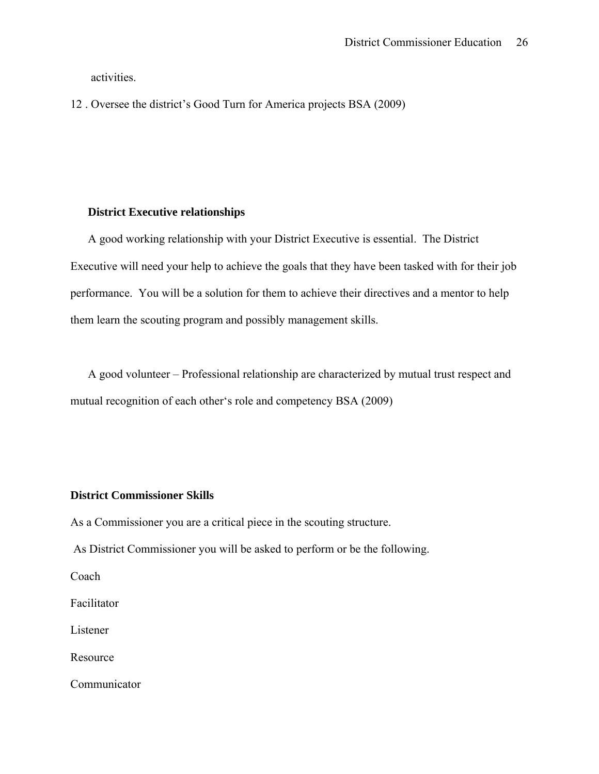activities.

12 . Oversee the district's Good Turn for America projects BSA (2009)

# **District Executive relationships**

 A good working relationship with your District Executive is essential. The District Executive will need your help to achieve the goals that they have been tasked with for their job performance. You will be a solution for them to achieve their directives and a mentor to help them learn the scouting program and possibly management skills.

 A good volunteer – Professional relationship are characterized by mutual trust respect and mutual recognition of each other's role and competency BSA (2009)

# **District Commissioner Skills**

As a Commissioner you are a critical piece in the scouting structure.

As District Commissioner you will be asked to perform or be the following.

Coach

Facilitator

Listener

Resource

Communicator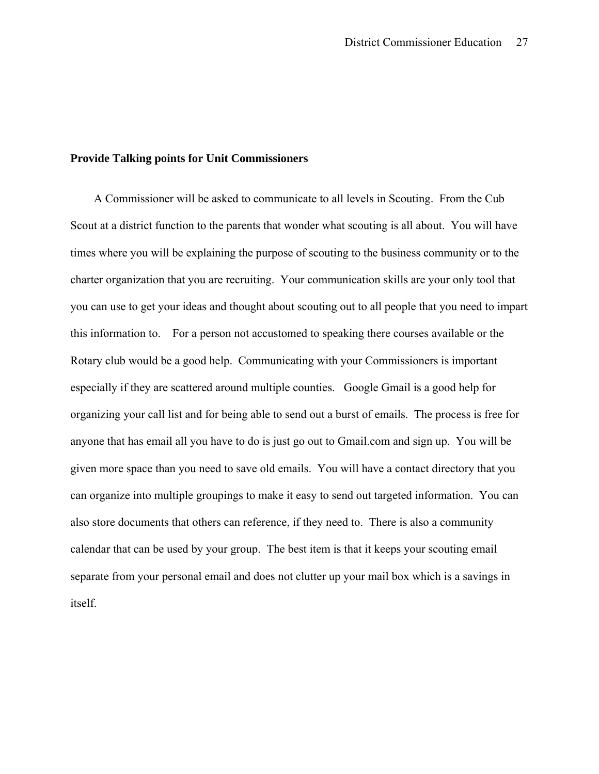## **Provide Talking points for Unit Commissioners**

 A Commissioner will be asked to communicate to all levels in Scouting. From the Cub Scout at a district function to the parents that wonder what scouting is all about. You will have times where you will be explaining the purpose of scouting to the business community or to the charter organization that you are recruiting. Your communication skills are your only tool that you can use to get your ideas and thought about scouting out to all people that you need to impart this information to. For a person not accustomed to speaking there courses available or the Rotary club would be a good help. Communicating with your Commissioners is important especially if they are scattered around multiple counties. Google Gmail is a good help for organizing your call list and for being able to send out a burst of emails. The process is free for anyone that has email all you have to do is just go out to Gmail.com and sign up. You will be given more space than you need to save old emails. You will have a contact directory that you can organize into multiple groupings to make it easy to send out targeted information. You can also store documents that others can reference, if they need to. There is also a community calendar that can be used by your group. The best item is that it keeps your scouting email separate from your personal email and does not clutter up your mail box which is a savings in itself.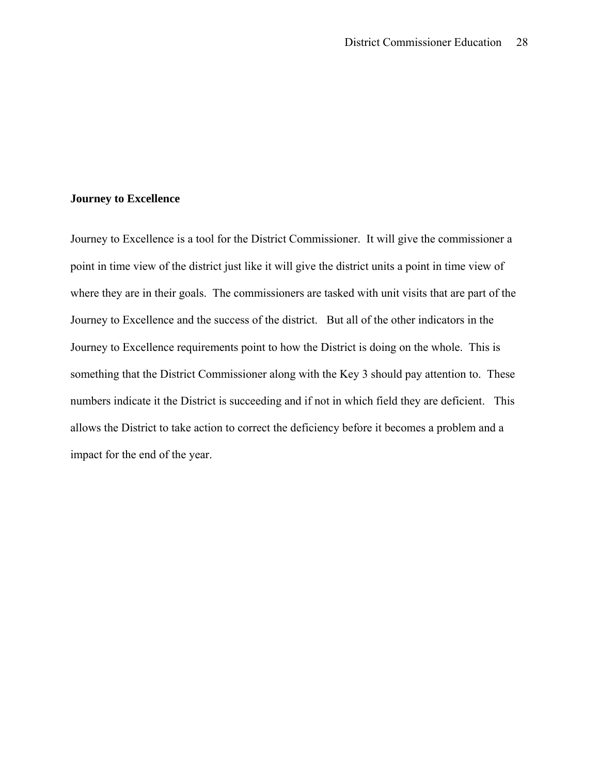## **Journey to Excellence**

Journey to Excellence is a tool for the District Commissioner. It will give the commissioner a point in time view of the district just like it will give the district units a point in time view of where they are in their goals. The commissioners are tasked with unit visits that are part of the Journey to Excellence and the success of the district. But all of the other indicators in the Journey to Excellence requirements point to how the District is doing on the whole. This is something that the District Commissioner along with the Key 3 should pay attention to. These numbers indicate it the District is succeeding and if not in which field they are deficient. This allows the District to take action to correct the deficiency before it becomes a problem and a impact for the end of the year.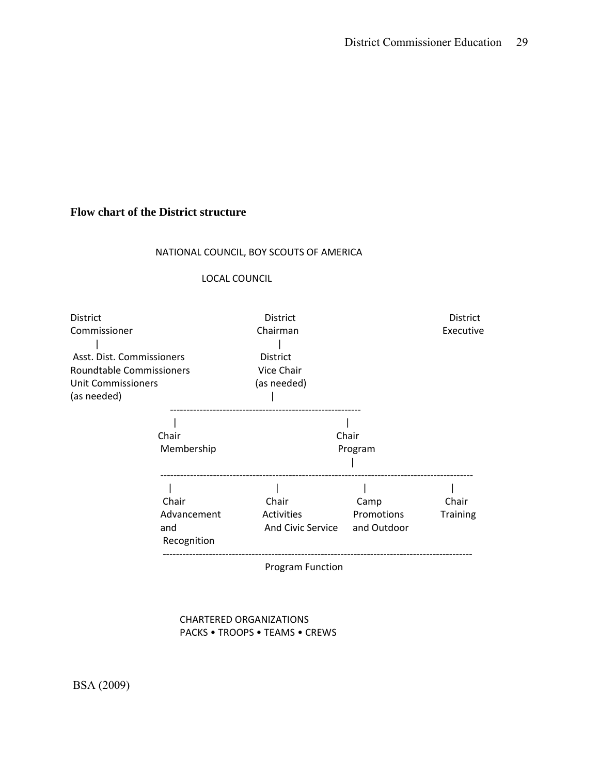# **Flow chart of the District structure**

# NATIONAL COUNCIL, BOY SCOUTS OF AMERICA

#### LOCAL COUNCIL

| <b>District</b>                                                       |                                            | District                                  |                                   | <b>District</b>          |
|-----------------------------------------------------------------------|--------------------------------------------|-------------------------------------------|-----------------------------------|--------------------------|
| Commissioner<br>Asst. Dist. Commissioners<br>Roundtable Commissioners |                                            | Chairman<br><b>District</b><br>Vice Chair |                                   | Executive                |
|                                                                       |                                            |                                           |                                   |                          |
| Chair<br>Program                                                      |                                            |                                           |                                   |                          |
|                                                                       | Chair<br>Advancement<br>and<br>Recognition | Chair<br>Activities<br>And Civic Service  | Camp<br>Promotions<br>and Outdoor | Chair<br><b>Training</b> |
|                                                                       |                                            | <b>Program Function</b>                   |                                   |                          |

 CHARTERED ORGANIZATIONS PACKS • TROOPS • TEAMS • CREWS

BSA (2009)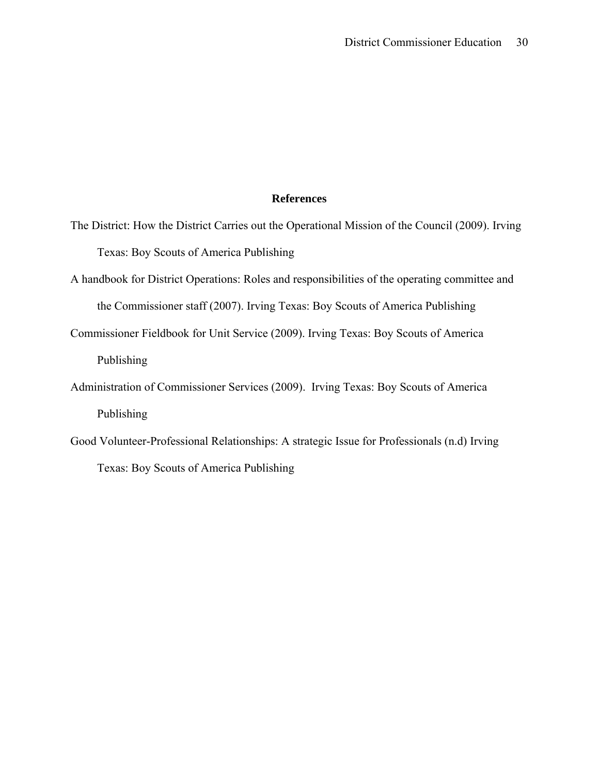## **References**

- The District: How the District Carries out the Operational Mission of the Council (2009). Irving Texas: Boy Scouts of America Publishing
- A handbook for District Operations: Roles and responsibilities of the operating committee and the Commissioner staff (2007). Irving Texas: Boy Scouts of America Publishing
- Commissioner Fieldbook for Unit Service (2009). Irving Texas: Boy Scouts of America Publishing
- Administration of Commissioner Services (2009). Irving Texas: Boy Scouts of America Publishing
- Good Volunteer-Professional Relationships: A strategic Issue for Professionals (n.d) Irving Texas: Boy Scouts of America Publishing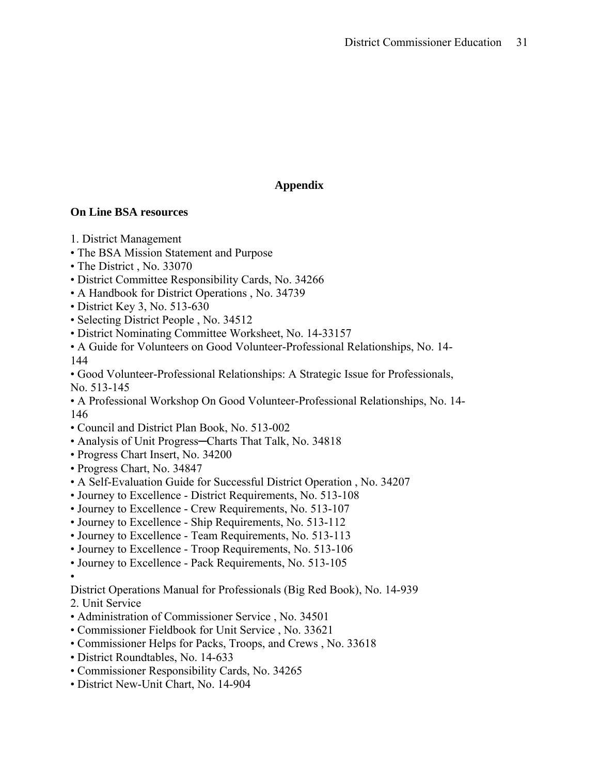# **Appendix**

# **On Line BSA resources**

- 1. District Management
- The BSA Mission Statement and Purpose
- The District, No. 33070
- District Committee Responsibility Cards, No. 34266
- A Handbook for District Operations , No. 34739
- District Key 3, No. 513-630
- Selecting District People , No. 34512
- District Nominating Committee Worksheet, No. 14-33157
- A Guide for Volunteers on Good Volunteer-Professional Relationships, No. 14- 144
- Good Volunteer-Professional Relationships: A Strategic Issue for Professionals, No. 513-145
- A Professional Workshop On Good Volunteer-Professional Relationships, No. 14- 146
- Council and District Plan Book, No. 513-002
- Analysis of Unit Progress-Charts That Talk, No. 34818
- Progress Chart Insert, No. 34200
- Progress Chart, No. 34847
- A Self-Evaluation Guide for Successful District Operation , No. 34207
- Journey to Excellence District Requirements, No. 513-108
- Journey to Excellence Crew Requirements, No. 513-107
- Journey to Excellence Ship Requirements, No. 513-112
- Journey to Excellence Team Requirements, No. 513-113
- Journey to Excellence Troop Requirements, No. 513-106
- Journey to Excellence Pack Requirements, No. 513-105
- •
- District Operations Manual for Professionals (Big Red Book), No. 14-939
- 2. Unit Service
- Administration of Commissioner Service , No. 34501
- Commissioner Fieldbook for Unit Service , No. 33621
- Commissioner Helps for Packs, Troops, and Crews , No. 33618
- District Roundtables, No. 14-633
- Commissioner Responsibility Cards, No. 34265
- District New-Unit Chart, No. 14-904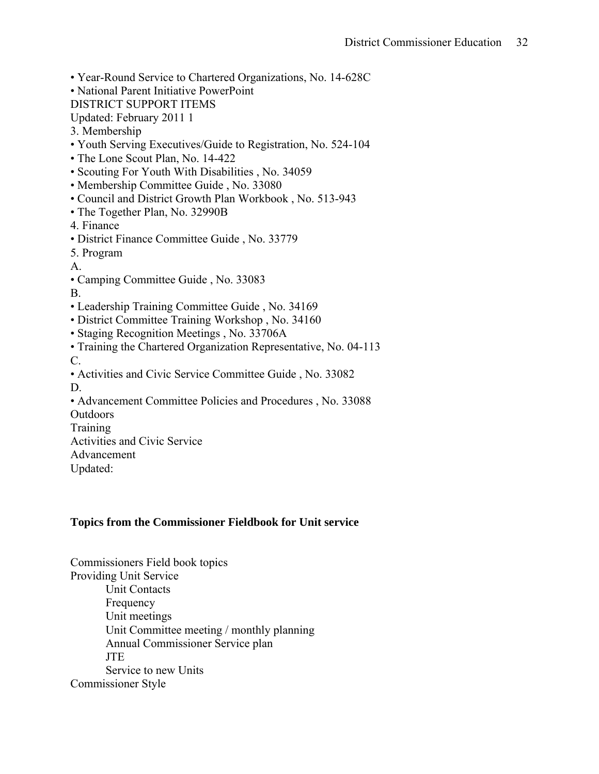- Year-Round Service to Chartered Organizations, No. 14-628C
- National Parent Initiative PowerPoint
- DISTRICT SUPPORT ITEMS
- Updated: February 2011 1
- 3. Membership
- Youth Serving Executives/Guide to Registration, No. 524-104
- The Lone Scout Plan, No. 14-422
- Scouting For Youth With Disabilities , No. 34059
- Membership Committee Guide , No. 33080
- Council and District Growth Plan Workbook , No. 513-943
- The Together Plan, No. 32990B
- 4. Finance
- District Finance Committee Guide , No. 33779
- 5. Program
- A.
- Camping Committee Guide , No. 33083
- B.
- Leadership Training Committee Guide , No. 34169
- District Committee Training Workshop , No. 34160
- Staging Recognition Meetings , No. 33706A
- Training the Chartered Organization Representative, No. 04-113 C.
- Activities and Civic Service Committee Guide , No. 33082 D.
- Advancement Committee Policies and Procedures , No. 33088
- Outdoors
- **Training**
- Activities and Civic Service
- Advancement
- Updated:

# **Topics from the Commissioner Fieldbook for Unit service**

Commissioners Field book topics Providing Unit Service Unit Contacts **Frequency**  Unit meetings Unit Committee meeting / monthly planning Annual Commissioner Service plan **JTE**  Service to new Units Commissioner Style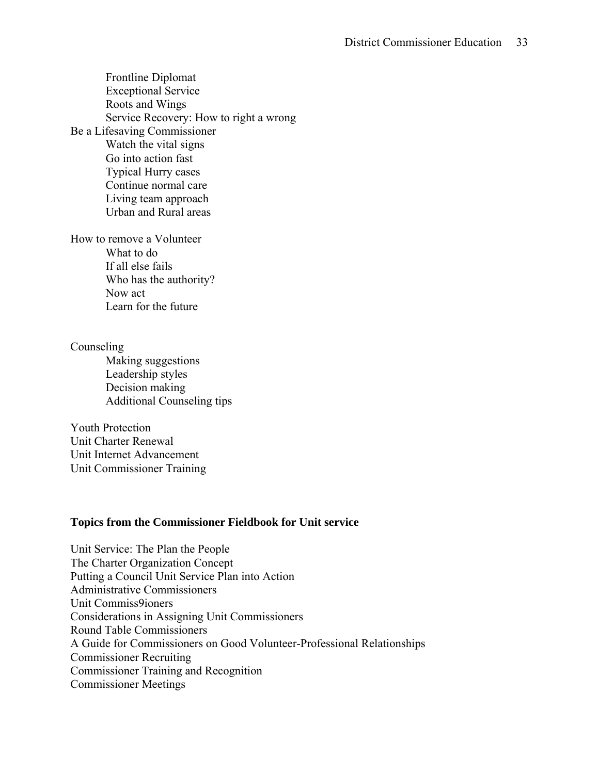Frontline Diplomat Exceptional Service Roots and Wings Service Recovery: How to right a wrong Be a Lifesaving Commissioner Watch the vital signs Go into action fast Typical Hurry cases Continue normal care Living team approach Urban and Rural areas

How to remove a Volunteer What to do If all else fails Who has the authority? Now act Learn for the future

Counseling Making suggestions Leadership styles Decision making Additional Counseling tips

Youth Protection Unit Charter Renewal Unit Internet Advancement Unit Commissioner Training

## **Topics from the Commissioner Fieldbook for Unit service**

Unit Service: The Plan the People The Charter Organization Concept Putting a Council Unit Service Plan into Action Administrative Commissioners Unit Commiss9ioners Considerations in Assigning Unit Commissioners Round Table Commissioners A Guide for Commissioners on Good Volunteer-Professional Relationships Commissioner Recruiting Commissioner Training and Recognition Commissioner Meetings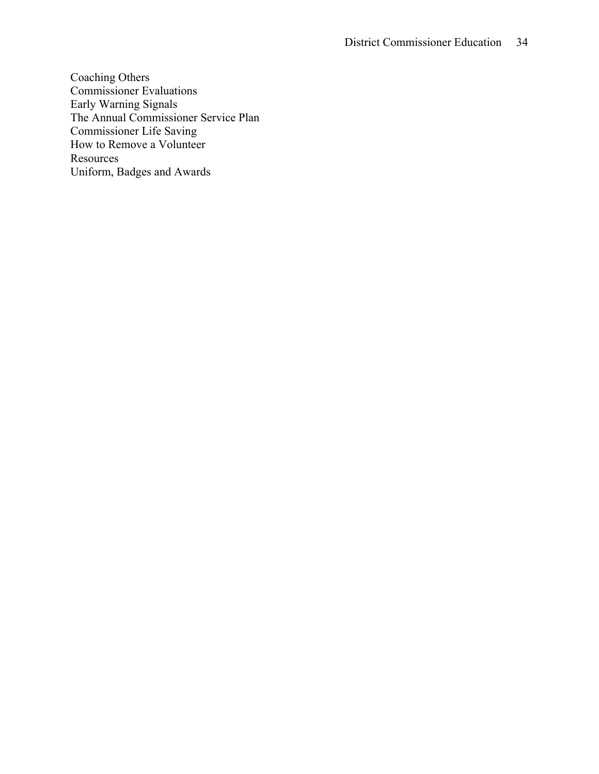Coaching Others Commissioner Evaluations Early Warning Signals The Annual Commissioner Service Plan Commissioner Life Saving How to Remove a Volunteer **Resources** Uniform, Badges and Awards